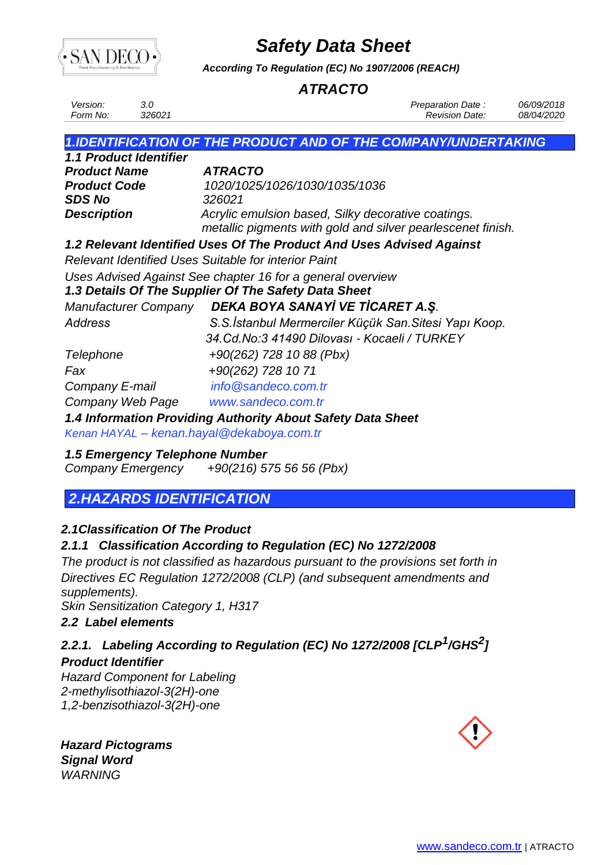

*According To Regulation (EC) No 1907/2006 (REACH)*

### *ATRACTO*

| <i>Version:</i> |                    | Preparation Date :    | 06/09/2018        |
|-----------------|--------------------|-----------------------|-------------------|
| Form No:        | <sup>2</sup> 26021 | <b>Revision Date:</b> | <i>08/04/2020</i> |

### *1.IDENTIFICATION OF THE PRODUCT AND OF THE COMPANY/UNDERTAKING*

| 1.1 Product Identifier |                                                             |
|------------------------|-------------------------------------------------------------|
| <b>Product Name</b>    | <b>ATRACTO</b>                                              |
| <b>Product Code</b>    | 1020/1025/1026/1030/1035/1036                               |
| <b>SDS No</b>          | 326021                                                      |
| <b>Description</b>     | Acrylic emulsion based, Silky decorative coatings.          |
|                        | metallic pigments with gold and silver pearlescenet finish. |

### *1.2 Relevant Identified Uses Of The Product And Uses Advised Against*

*Relevant Identified Uses Suitable for interior Paint*

*Uses Advised Against See chapter 16 for a general overview*

### *1.3 Details Of The Supplier Of The Safety Data Sheet*

*Manufacturer Company DEKA BOYA SANAYİ VE TİCARET A.Ş.*

*Address S.S.İstanbul Mermerciler Küçük San.Sitesi Yapı Koop. 34.Cd.No:3 41490 Dilovası - Kocaeli / TURKEY Telephone +90(262) 728 10 88 (Pbx) Fax +90(262) 728 10 71 Company E-mail info@sandeco.com.tr Company Web Page www.sandeco.com.tr*

### *1.4 Information Providing Authority About Safety Data Sheet*

*Kenan HAYAL – [kenan.hayal@dekaboya.com.tr](mailto:%20%20%20%20%20%20%20%20%20%20%20%20%20%20%20%20%20%20%20%20%20%20%20%20%20%20%20%20%20%20%20%20%20%20%20%20Kenan%20HAYAL%20–%20kenan.h@dekaboya.com.tr)*

### *1.5 Emergency Telephone Number*

*Company Emergency +90(216) 575 56 56 (Pbx)*

## *2.HAZARDS IDENTIFICATION*

### *2.1Classification Of The Product*

### *2.1.1 Classification According to Regulation (EC) No 1272/2008*

*The product is not classified as hazardous pursuant to the provisions set forth in Directives EC Regulation 1272/2008 (CLP) (and subsequent amendments and supplements).*

*Skin Sensitization Category 1, H317*

### *2.2 Label elements*

### *2.2.1. Labeling According to Regulation (EC) No 1272/2008 [CLP<sup>1</sup> /GHS<sup>2</sup> ] Product Identifier*

*Hazard Component for Labeling 2-methylisothiazol-3(2H)-one 1,2-benzisothiazol-3(2H)-one*

 *Hazard Pictograms Signal Word WARNING*

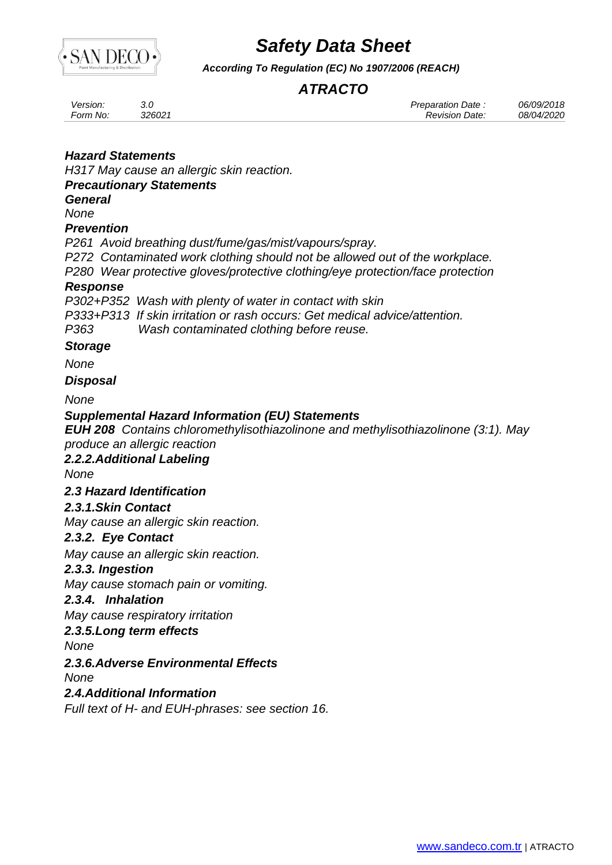

*According To Regulation (EC) No 1907/2006 (REACH)*

## *ATRACTO*

| Version: |        | Preparation Date      | 06/09/2018 |
|----------|--------|-----------------------|------------|
| Form No: | 326021 | <b>Revision Date:</b> | 08/04/2020 |

### *Hazard Statements*

*H317 May cause an allergic skin reaction.*

### *Precautionary Statements*

*General*

*None*

#### *Prevention*

*P261 Avoid breathing dust/fume/gas/mist/vapours/spray.*

*P272 Contaminated work clothing should not be allowed out of the workplace.*

*P280 Wear protective gloves/protective clothing/eye protection/face protection*

### *Response*

*P302+P352 Wash with plenty of water in contact with skin*

*P333+P313 If skin irritation or rash occurs: Get medical advice/attention.*

*P363 Wash contaminated clothing before reuse.*

### *Storage*

*None*

### *Disposal*

*None*

### *Supplemental Hazard Information (EU) Statements*

*EUH 208 Contains chloromethylisothiazolinone and methylisothiazolinone (3:1). May produce an allergic reaction*

### *2.2.2.Additional Labeling*

*None*

### *2.3 Hazard Identification*

### *2.3.1.Skin Contact*

*May cause an allergic skin reaction.*

### *2.3.2. Eye Contact*

*May cause an allergic skin reaction.*

### *2.3.3. Ingestion*

*May cause stomach pain or vomiting.*

#### *2.3.4. Inhalation*

*May cause respiratory irritation*

### *2.3.5.Long term effects*

*None*

### *2.3.6.Adverse Environmental Effects*

*None*

*2.4.Additional Information*

*Full text of H- and EUH-phrases: see section 16.*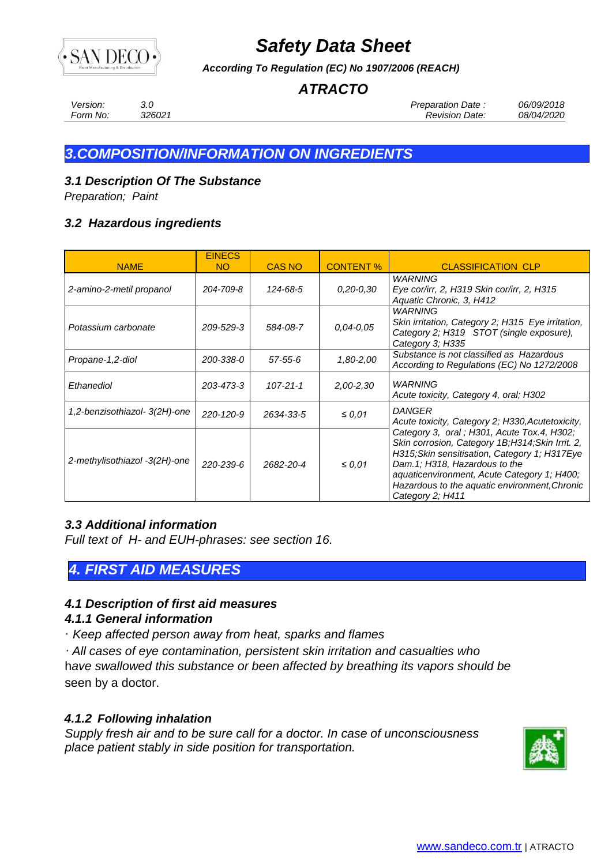

*According To Regulation (EC) No 1907/2006 (REACH)*

## *ATRACTO*

*Version: 3.0 Preparation Date : 06/09/2018 Form No: 326021 Revision Date: 08/04/2020*

## *3.COMPOSITION/INFORMATION ON INGREDIENTS*

### *3.1 Description Of The Substance*

*Preparation; Paint*

### *3.2 Hazardous ingredients*

| <b>NAME</b>                   | <b>EINECS</b><br>NO. | <b>CAS NO</b>  | <b>CONTENT %</b> | <b>CLASSIFICATION CLP</b>                                                                                                                                                                                                                                                                           |
|-------------------------------|----------------------|----------------|------------------|-----------------------------------------------------------------------------------------------------------------------------------------------------------------------------------------------------------------------------------------------------------------------------------------------------|
| 2-amino-2-metil propanol      | 204-709-8            | 124-68-5       | $0,20 - 0,30$    | WARNING<br>Eye cor/irr, 2, H319 Skin cor/irr, 2, H315<br>Aquatic Chronic, 3, H412                                                                                                                                                                                                                   |
| Potassium carbonate           | 209-529-3            | 584-08-7       | $0.04 - 0.05$    | WARNING<br>Skin irritation, Category 2; H315 Eye irritation,<br>Category 2; H319 STOT (single exposure),<br>Category 3; H335                                                                                                                                                                        |
| Propane-1,2-diol              | 200-338-0            | 57-55-6        | 1,80-2,00        | Substance is not classified as Hazardous<br>According to Regulations (EC) No 1272/2008                                                                                                                                                                                                              |
| Ethanediol                    | 203-473-3            | $107 - 21 - 1$ | $2,00 - 2,30$    | WARNING<br>Acute toxicity, Category 4, oral; H302                                                                                                                                                                                                                                                   |
| 1,2-benzisothiazol- 3(2H)-one | 220-120-9            | 2634-33-5      | $\leq 0.01$      | <b>DANGER</b><br>Acute toxicity, Category 2; H330, Acutetoxicity,                                                                                                                                                                                                                                   |
| 2-methylisothiazol -3(2H)-one | 220-239-6            | 2682-20-4      | $\leq 0.01$      | Category 3, oral; H301, Acute Tox.4, H302;<br>Skin corrosion, Category 1B;H314;Skin Irrit. 2,<br>H315; Skin sensitisation, Category 1; H317Eye<br>Dam.1; H318, Hazardous to the<br>aquaticenvironment, Acute Category 1; H400;<br>Hazardous to the aquatic environment, Chronic<br>Category 2; H411 |

### *3.3 Additional information*

*Full text of H- and EUH-phrases: see section 16.*

### *4. FIRST AID MEASURES*

### *4.1 Description of first aid measures*

### *4.1.1 General information*

· *Keep affected person away from heat, sparks and flames*

*· All cases of eye contamination, persistent skin irritation and casualties who* h*ave swallowed this substance or been affected by breathing its vapors should be*  seen by a doctor.

### *4.1.2 Following inhalation*

*Supply fresh air and to be sure call for a doctor. In case of unconsciousness place patient stably in side position for transportation.*

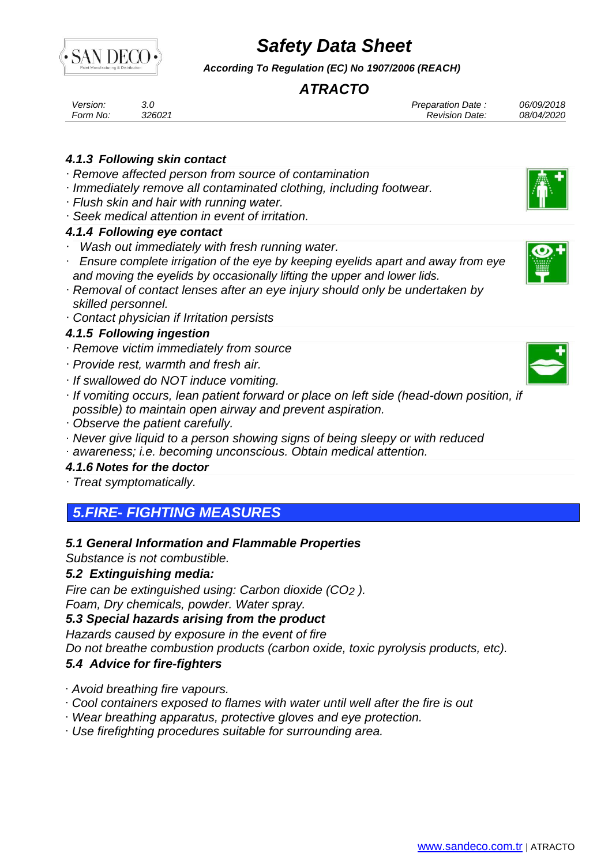

*According To Regulation (EC) No 1907/2006 (REACH)*

## *ATRACTO*

| Version: |        | Preparation Date: | 06/09/2018 |
|----------|--------|-------------------|------------|
| Form No: | 326021 | Revision Date:    | 08/04/2020 |

### *4.1.3 Following skin contact*

- · *Remove affected person from source of contamination*
- · *Immediately remove all contaminated clothing, including footwear.*
- · *Flush skin and hair with running water.*
- · *Seek medical attention in event of irritation.*

### *4.1.4 Following eye contact*

- · *Wash out immediately with fresh running water.*
- · *Ensure complete irrigation of the eye by keeping eyelids apart and away from eye and moving the eyelids by occasionally lifting the upper and lower lids.*
- · *Removal of contact lenses after an eye injury should only be undertaken by skilled personnel.*
- · *Contact physician if Irritation persists*

### *4.1.5 Following ingestion*

- · *Remove victim immediately from source*
- · *Provide rest, warmth and fresh air.*
- · *If swallowed do NOT induce vomiting.*
- · *If vomiting occurs, lean patient forward or place on left side (head-down position, if possible) to maintain open airway and prevent aspiration.*
- · *Observe the patient carefully.*
- · *Never give liquid to a person showing signs of being sleepy or with reduced*
- · *awareness; i.e. becoming unconscious. Obtain medical attention.*

### *4.1.6 Notes for the doctor*

· *Treat symptomatically.*

## *5.FIRE- FIGHTING MEASURES*

### *5.1 General Information and Flammable Properties*

*Substance is not combustible.*

### *5.2 Extinguishing media:*

*Fire can be extinguished using: Carbon dioxide (CO2 ). Foam, Dry chemicals, powder. Water spray.*

### *5.3 Special hazards arising from the product*

*Hazards caused by exposure in the event of fire*

*Do not breathe combustion products (carbon oxide, toxic pyrolysis products, etc).*

### *5.4 Advice for fire-fighters*

· *Avoid breathing fire vapours.*

- · *Cool containers exposed to flames with water until well after the fire is out*
- · *Wear breathing apparatus, protective gloves and eye protection.*
- · *Use firefighting procedures suitable for surrounding area.*





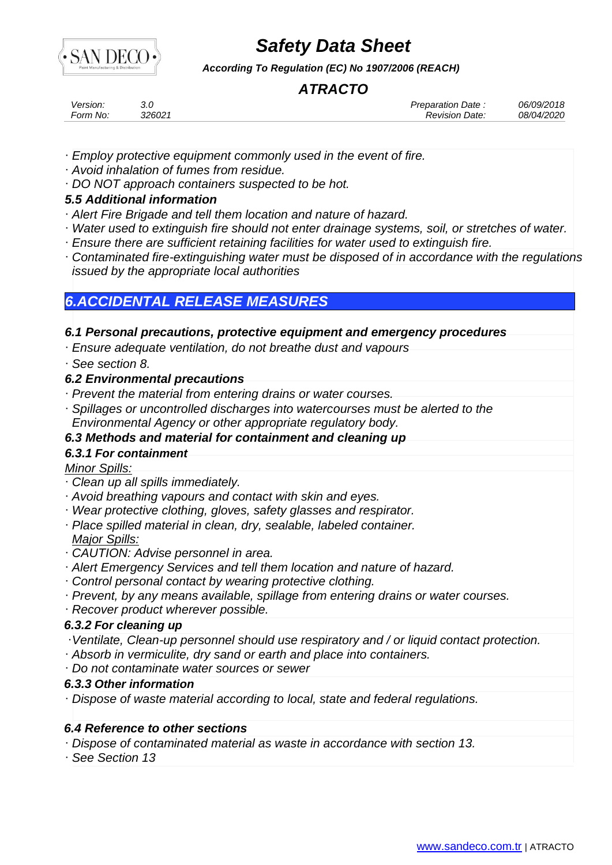

*According To Regulation (EC) No 1907/2006 (REACH)*

## *ATRACTO*

| Version: |        | <b>Preparation Date</b> | 06/09/2018 |
|----------|--------|-------------------------|------------|
| Form No: | 326021 | <i>Revision Date:</i>   | 08/04/2020 |

- · *Employ protective equipment commonly used in the event of fire.*
- · *Avoid inhalation of fumes from residue.*
- · *DO NOT approach containers suspected to be hot.*

### *5.5 Additional information*

- · *Alert Fire Brigade and tell them location and nature of hazard.*
- · *Water used to extinguish fire should not enter drainage systems, soil, or stretches of water.*
- · *Ensure there are sufficient retaining facilities for water used to extinguish fire.*
- · *Contaminated fire-extinguishing water must be disposed of in accordance with the regulations issued by the appropriate local authorities*

### *6.ACCIDENTAL RELEASE MEASURES*

### *6.1 Personal precautions, protective equipment and emergency procedures*

- · *Ensure adequate ventilation, do not breathe dust and vapours*
- · *See section 8.*

### *6.2 Environmental precautions*

- · *Prevent the material from entering drains or water courses.*
- · *Spillages or uncontrolled discharges into watercourses must be alerted to the Environmental Agency or other appropriate regulatory body.*

### *6.3 Methods and material for containment and cleaning up*

### *6.3.1 For containment*

#### *Minor Spills:*

- · *Clean up all spills immediately.*
- · *Avoid breathing vapours and contact with skin and eyes.*
- · *Wear protective clothing, gloves, safety glasses and respirator.*
- · *Place spilled material in clean, dry, sealable, labeled container. Major Spills:*
- · *CAUTION: Advise personnel in area.*
- · *Alert Emergency Services and tell them location and nature of hazard.*
- · *Control personal contact by wearing protective clothing.*
- · *Prevent, by any means available, spillage from entering drains or water courses.*
- · *Recover product wherever possible.*

### *6.3.2 For cleaning up*

- ·*Ventilate, Clean-up personnel should use respiratory and / or liquid contact protection.*
- · *Absorb in vermiculite, dry sand or earth and place into containers.*
- · *Do not contaminate water sources or sewer*

### *6.3.3 Other information*

· *Dispose of waste material according to local, state and federal regulations.*

### *6.4 Reference to other sections*

- · *Dispose of contaminated material as waste in accordance with section 13.*
- · *See Section 13*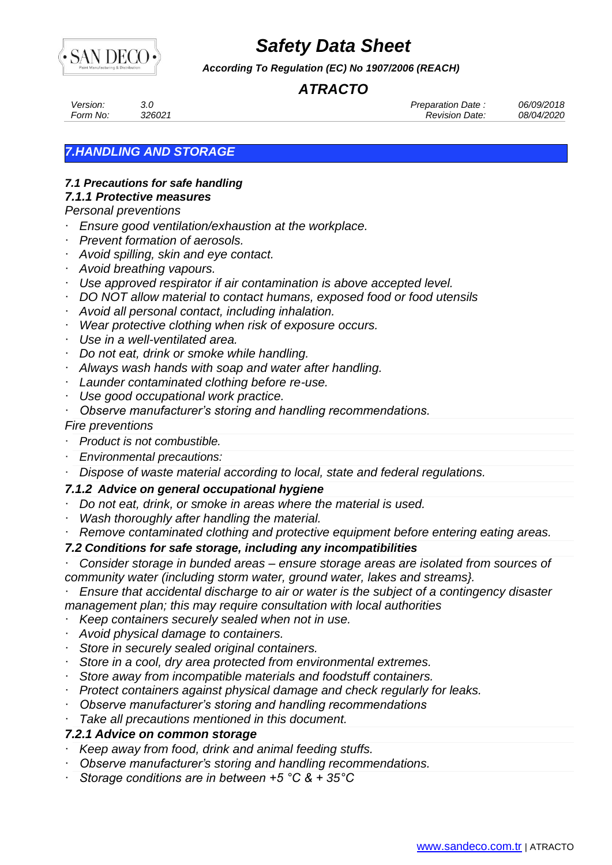

*According To Regulation (EC) No 1907/2006 (REACH)*

## *ATRACTO*

*Version: 3.0 Preparation Date : 06/09/2018 Form No: 326021 Revision Date: 08/04/2020*

### *7.HANDLING AND STORAGE*

## *7.1 Precautions for safe handling*

## *7.1.1 Protective measures*

### *Personal preventions*

- · *Ensure good ventilation/exhaustion at the workplace.*
- · *Prevent formation of aerosols.*
- · *Avoid spilling, skin and eye contact.*
- · *Avoid breathing vapours.*
- · *Use approved respirator if air contamination is above accepted level.*
- · *DO NOT allow material to contact humans, exposed food or food utensils*
- · *Avoid all personal contact, including inhalation.*
- · *Wear protective clothing when risk of exposure occurs.*
- · *Use in a well-ventilated area.*
- · *Do not eat, drink or smoke while handling.*
- · *Always wash hands with soap and water after handling.*
- · *Launder contaminated clothing before re-use.*
- · *Use good occupational work practice.*
- · *Observe manufacturer's storing and handling recommendations.*

#### *Fire preventions*

- · *Product is not combustible.*
- · *Environmental precautions:*
- · *Dispose of waste material according to local, state and federal regulations.*

### *7.1.2 Advice on general occupational hygiene*

- · *Do not eat, drink, or smoke in areas where the material is used.*
- · *Wash thoroughly after handling the material.*
- · *Remove contaminated clothing and protective equipment before entering eating areas.*

### *7.2 Conditions for safe storage, including any incompatibilities*

· *Consider storage in bunded areas – ensure storage areas are isolated from sources of community water (including storm water, ground water, lakes and streams}.*

· *Ensure that accidental discharge to air or water is the subject of a contingency disaster management plan; this may require consultation with local authorities*

- · *Keep containers securely sealed when not in use.*
- · *Avoid physical damage to containers.*
- · *Store in securely sealed original containers.*
- · *Store in a cool, dry area protected from environmental extremes.*
- · *Store away from incompatible materials and foodstuff containers.*
- · *Protect containers against physical damage and check regularly for leaks.*
- · *Observe manufacturer's storing and handling recommendations*
- Take all precautions mentioned in this document.

### *7.2.1 Advice on common storage*

- · *Keep away from food, drink and animal feeding stuffs.*
- · *Observe manufacturer's storing and handling recommendations.*
- · *Storage conditions are in between +5 °C & + 35°C*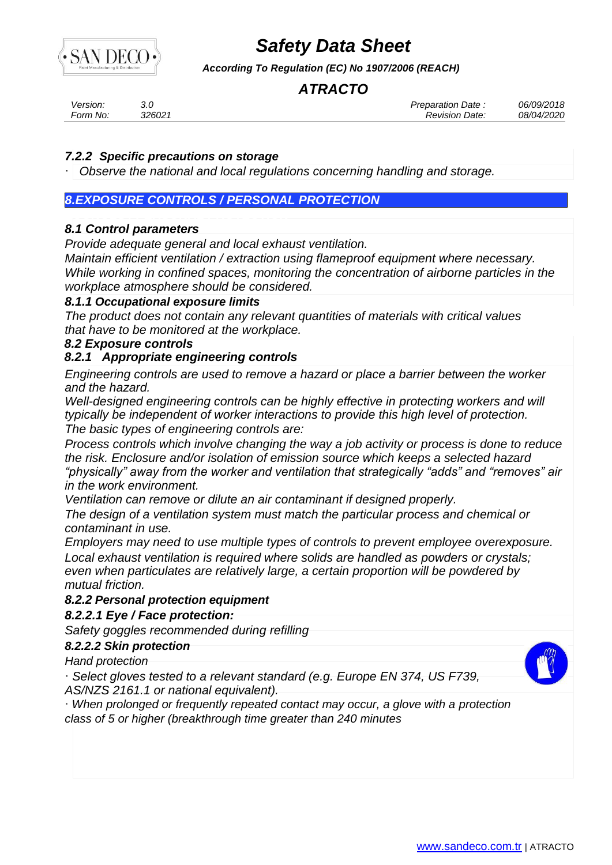

*According To Regulation (EC) No 1907/2006 (REACH)*

## *ATRACTO*

| Version: | J.L    | Preparation Date. | 06/09/2018        |
|----------|--------|-------------------|-------------------|
| Form No: | 326021 | Revision Date:    | <i>08/04/2020</i> |

### *7.2.2 Specific precautions on storage*

· *Observe the national and local regulations concerning handling and storage.*

### *8.EXPOSURE CONTROLS / PERSONAL PROTECTION*

### *8.1 Control parameters*

*Provide adequate general and local exhaust ventilation.*

*Maintain efficient ventilation / extraction using flameproof equipment where necessary. While working in confined spaces, monitoring the concentration of airborne particles in the workplace atmosphere should be considered.*

### *8.1.1 Occupational exposure limits*

*The product does not contain any relevant quantities of materials with critical values that have to be monitored at the workplace.* 

### *8.2 Exposure controls*

### *8.2.1 Appropriate engineering controls*

*Engineering controls are used to remove a hazard or place a barrier between the worker and the hazard.*

*Well-designed engineering controls can be highly effective in protecting workers and will typically be independent of worker interactions to provide this high level of protection. The basic types of engineering controls are:*

*Process controls which involve changing the way a job activity or process is done to reduce the risk. Enclosure and/or isolation of emission source which keeps a selected hazard "physically" away from the worker and ventilation that strategically "adds" and "removes" air in the work environment.*

*Ventilation can remove or dilute an air contaminant if designed properly.*

*The design of a ventilation system must match the particular process and chemical or contaminant in use.*

*Employers may need to use multiple types of controls to prevent employee overexposure. Local exhaust ventilation is required where solids are handled as powders or crystals; even when particulates are relatively large, a certain proportion will be powdered by mutual friction.*

### *8.2.2 Personal protection equipment*

*8.2.2.1 Eye / Face protection:*

*Safety goggles recommended during refilling*

#### *8.2.2.2 Skin protection*

*Hand protection*

· *Select gloves tested to a relevant standard (e.g. Europe EN 374, US F739, AS/NZS 2161.1 or national equivalent).*

· *When prolonged or frequently repeated contact may occur, a glove with a protection class of 5 or higher (breakthrough time greater than 240 minutes*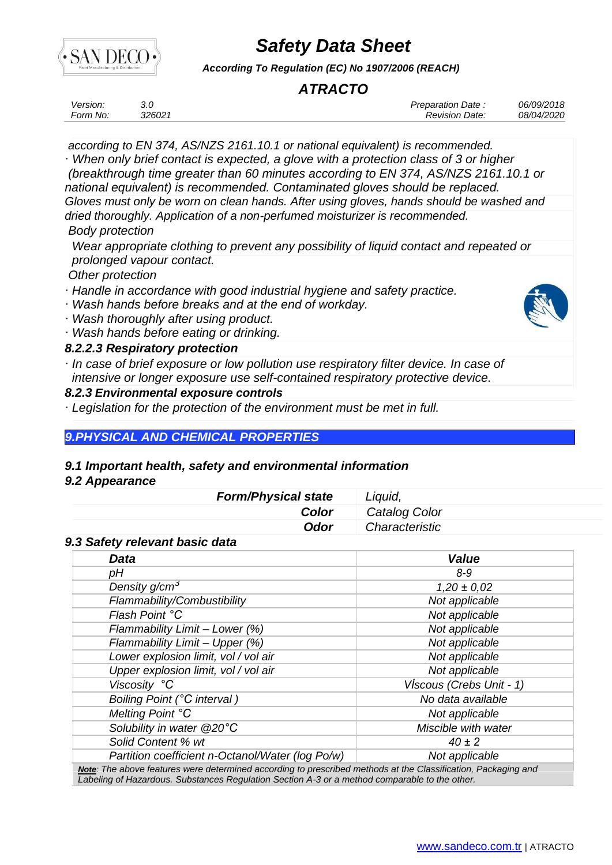

*According To Regulation (EC) No 1907/2006 (REACH)*

## *ATRACTO*

| Version: |        | <b>Preparation Date</b> | 06/09/2018 |
|----------|--------|-------------------------|------------|
| Form No: | 326021 | Revision Date:          | 08/04/2020 |

*according to EN 374, AS/NZS 2161.10.1 or national equivalent) is recommended.*

· *When only brief contact is expected, a glove with a protection class of 3 or higher (breakthrough time greater than 60 minutes according to EN 374, AS/NZS 2161.10.1 or national equivalent) is recommended. Contaminated gloves should be replaced. Gloves must only be worn on clean hands. After using gloves, hands should be washed and dried thoroughly. Application of a non-perfumed moisturizer is recommended.*

#### *Body protection*

*Wear appropriate clothing to prevent any possibility of liquid contact and repeated or prolonged vapour contact.*

*Other protection*

- · *Handle in accordance with good industrial hygiene and safety practice.*
- · *Wash hands before breaks and at the end of workday.*
- · *Wash thoroughly after using product.*
- · *Wash hands before eating or drinking.*

### *8.2.2.3 Respiratory protection*

· *In case of brief exposure or low pollution use respiratory filter device. In case of intensive or longer exposure use self-contained respiratory protective device.*

### *8.2.3 Environmental exposure controls*

· *Legislation for the protection of the environment must be met in full.*

### *9.PHYSICAL AND CHEMICAL PROPERTIES*

#### *9.1 Important health, safety and environmental information*

#### *9.2 Appearance*

| <b>Form/Physical state</b> | Liguid,        |
|----------------------------|----------------|
| Color                      | Catalog Color  |
| Odor                       | Characteristic |

#### *9.3 Safety relevant basic data*

| <b>Data</b>                                      | <b>Value</b>             |
|--------------------------------------------------|--------------------------|
| pН                                               | $8 - 9$                  |
| Density g/cm <sup>3</sup>                        | $1,20 \pm 0,02$          |
| Flammability/Combustibility                      | Not applicable           |
| Flash Point °C                                   | Not applicable           |
| Flammability Limit - Lower (%)                   | Not applicable           |
| Flammability Limit - Upper (%)                   | Not applicable           |
| Lower explosion limit, vol / vol air             | Not applicable           |
| Upper explosion limit, vol / vol air             | Not applicable           |
| Viscosity °C                                     | VIscous (Crebs Unit - 1) |
| Boiling Point (°C interval)                      | No data available        |
| Melting Point °C                                 | Not applicable           |
| Solubility in water @20°C                        | Miscible with water      |
| Solid Content % wt                               | $40 \pm 2$               |
| Partition coefficient n-Octanol/Water (log Po/w) | Not applicable           |

*Note: The above features were determined according to prescribed methods at the Classification, Packaging and Labeling of Hazardous. Substances Regulation Section A-3 or a method comparable to the other.*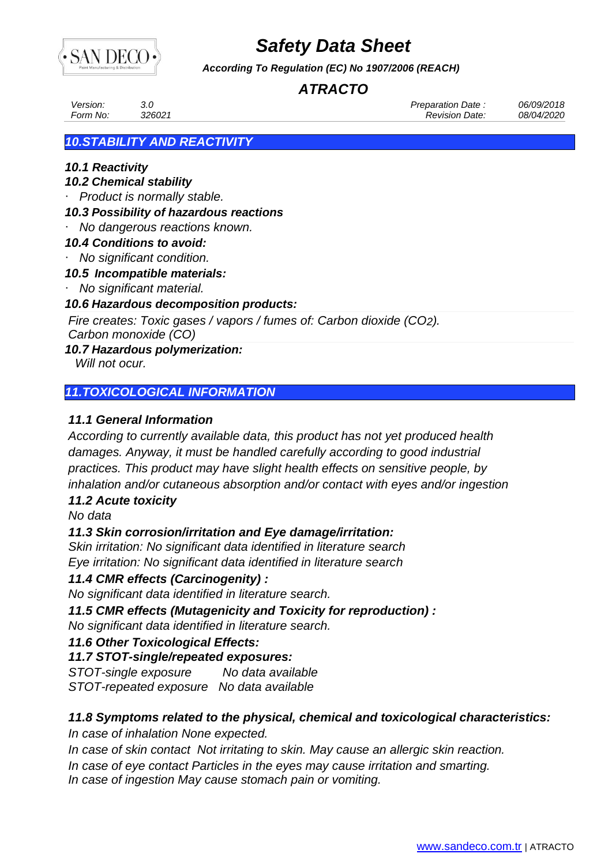

*According To Regulation (EC) No 1907/2006 (REACH)*

## *ATRACTO*

| <i>Version:</i> | 326021 | Preparation Date:     | 06/09/2018 |
|-----------------|--------|-----------------------|------------|
| Form No:        |        | <b>Revision Date:</b> | 08/04/2020 |
|                 |        |                       |            |

### *10.STABILITY AND REACTIVITY*

### *10.1 Reactivity*

### *10.2 Chemical stability*

· *Product is normally stable.*

### *10.3 Possibility of hazardous reactions*

· *No dangerous reactions known.*

### *10.4 Conditions to avoid:*

· *No significant condition.*

### *10.5 Incompatible materials:*

· *No significant material.*

### *10.6 Hazardous decomposition products:*

*Fire creates: Toxic gases / vapors / fumes of: Carbon dioxide (CO2).*

*Carbon monoxide (CO)*

### *10.7 Hazardous polymerization:*

 *Will not ocur.*

### *11.TOXICOLOGICAL INFORMATION*

### *11.1 General Information*

*According to currently available data, this product has not yet produced health damages. Anyway, it must be handled carefully according to good industrial practices. This product may have slight health effects on sensitive people, by inhalation and/or cutaneous absorption and/or contact with eyes and/or ingestion*

#### *11.2 Acute toxicity*

*No data*

### *11.3 Skin corrosion/irritation and Eye damage/irritation:*

*Skin irritation: No significant data identified in literature search Eye irritation: No significant data identified in literature search*

### *11.4 CMR effects (Carcinogenity) :*

*No significant data identified in literature search.*

*11.5 CMR effects (Mutagenicity and Toxicity for reproduction) :*

*No significant data identified in literature search.*

### *11.6 Other Toxicological Effects:*

### *11.7 STOT-single/repeated exposures:*

*STOT-single exposure No data available STOT-repeated exposure No data available*

### *11.8 Symptoms related to the physical, chemical and toxicological characteristics:*

*In case of inhalation None expected.*

*In case of skin contact Not irritating to skin. May cause an allergic skin reaction.*

*In case of eye contact Particles in the eyes may cause irritation and smarting.*

*In case of ingestion May cause stomach pain or vomiting.*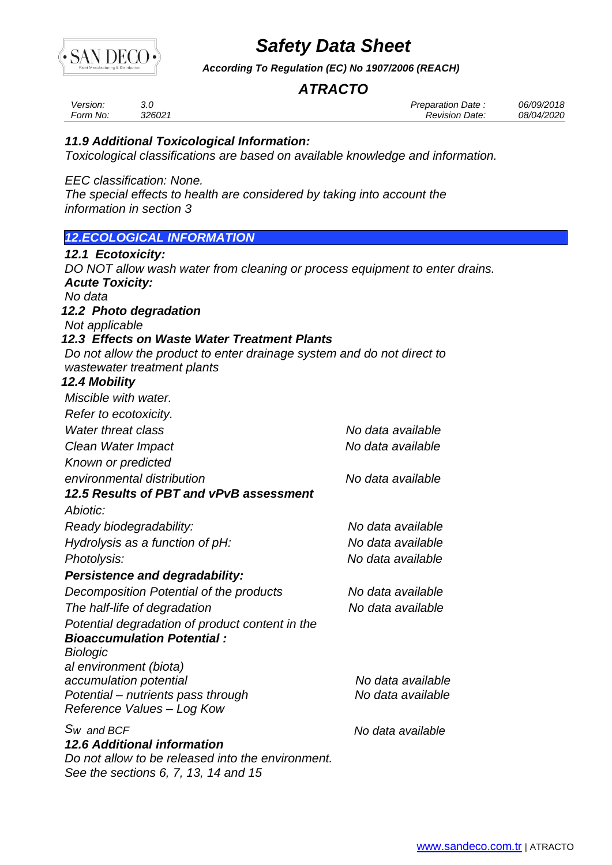

*According To Regulation (EC) No 1907/2006 (REACH)*

### *ATRACTO*

| Version: | 3.0    |
|----------|--------|
| Form No: | 326021 |

*Version: 3.0 Preparation Date : 06/09/2018 Form No: 326021 Revision Date: 08/04/2020*

### *11.9 Additional Toxicological Information:*

*Toxicological classifications are based on available knowledge and information.*

*EEC classification: None.*

*The special effects to health are considered by taking into account the information in section 3*

### *12.ECOLOGICAL INFORMATION*

| 12.1 Ecotoxicity:                                                                         |                   |
|-------------------------------------------------------------------------------------------|-------------------|
| DO NOT allow wash water from cleaning or process equipment to enter drains.               |                   |
| <b>Acute Toxicity:</b>                                                                    |                   |
| No data                                                                                   |                   |
| 12.2 Photo degradation<br>Not applicable                                                  |                   |
| 12.3 Effects on Waste Water Treatment Plants                                              |                   |
| Do not allow the product to enter drainage system and do not direct to                    |                   |
| wastewater treatment plants                                                               |                   |
| <b>12.4 Mobility</b>                                                                      |                   |
| Miscible with water.                                                                      |                   |
| Refer to ecotoxicity.                                                                     |                   |
| <b>Water threat class</b>                                                                 | No data available |
| Clean Water Impact                                                                        | No data available |
| Known or predicted                                                                        |                   |
| environmental distribution                                                                | No data available |
| 12.5 Results of PBT and vPvB assessment                                                   |                   |
| Abiotic:                                                                                  |                   |
| Ready biodegradability:                                                                   | No data available |
| Hydrolysis as a function of pH:                                                           | No data available |
| Photolysis:                                                                               | No data available |
| <b>Persistence and degradability:</b>                                                     |                   |
| Decomposition Potential of the products                                                   | No data available |
| The half-life of degradation                                                              | No data available |
| Potential degradation of product content in the                                           |                   |
| <b>Bioaccumulation Potential:</b>                                                         |                   |
| <b>Biologic</b>                                                                           |                   |
| al environment (biota)                                                                    |                   |
| accumulation potential                                                                    | No data available |
| Potential - nutrients pass through<br>Reference Values - Log Kow                          | No data available |
| $Sw$ and BCF                                                                              | No data available |
| <b>12.6 Additional information</b>                                                        |                   |
| Do not allow to be released into the environment.<br>See the sections 6, 7, 13, 14 and 15 |                   |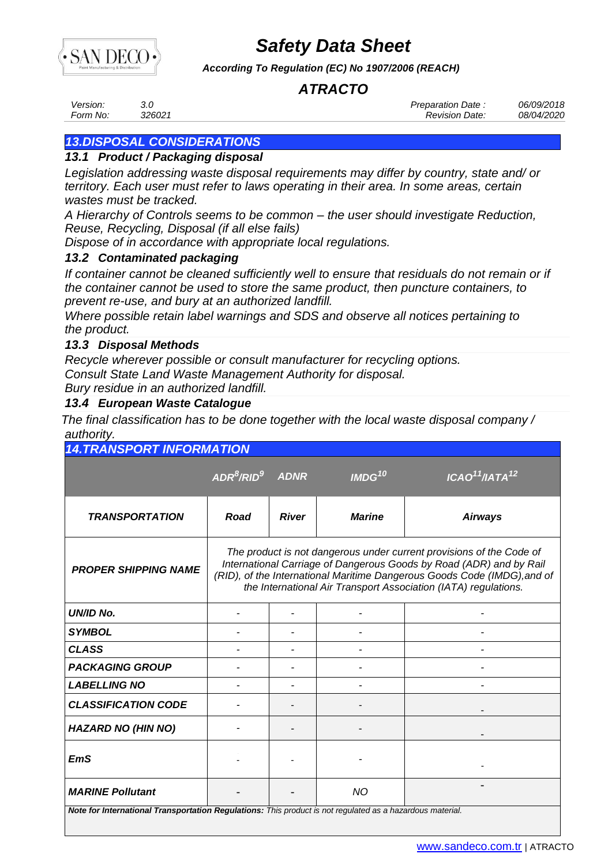

*According To Regulation (EC) No 1907/2006 (REACH)*

## *ATRACTO*

*Version: 3.0 Preparation Date : 06/09/2018 Form No: 326021 Revision Date: 08/04/2020*

## *13.DISPOSAL CONSIDERATIONS*

### *13.1 Product / Packaging disposal*

*Legislation addressing waste disposal requirements may differ by country, state and/ or territory. Each user must refer to laws operating in their area. In some areas, certain wastes must be tracked.*

*A Hierarchy of Controls seems to be common – the user should investigate Reduction, Reuse, Recycling, Disposal (if all else fails)*

*Dispose of in accordance with appropriate local regulations.*

### *13.2 Contaminated packaging*

*If container cannot be cleaned sufficiently well to ensure that residuals do not remain or if the container cannot be used to store the same product, then puncture containers, to prevent re-use, and bury at an authorized landfill.*

*Where possible retain label warnings and SDS and observe all notices pertaining to the product.*

### *13.3 Disposal Methods*

*Recycle wherever possible or consult manufacturer for recycling options. Consult State Land Waste Management Authority for disposal. Bury residue in an authorized landfill.*

### *13.4 European Waste Catalogue*

*The final classification has to be done together with the local waste disposal company / authority.*

| <b>14. TRANSPORT INFORMATION</b>                                                                          |                                                                                                                                                                                                                                                                                            |              |                    |                                        |  |  |  |
|-----------------------------------------------------------------------------------------------------------|--------------------------------------------------------------------------------------------------------------------------------------------------------------------------------------------------------------------------------------------------------------------------------------------|--------------|--------------------|----------------------------------------|--|--|--|
|                                                                                                           | $\mathsf{ADR}^8/\mathsf{RID}^9$                                                                                                                                                                                                                                                            | <b>ADNR</b>  | IMDG <sup>10</sup> | ICAO <sup>11</sup> /IATA <sup>12</sup> |  |  |  |
| <b>TRANSPORTATION</b>                                                                                     | Road                                                                                                                                                                                                                                                                                       | <b>River</b> | <b>Marine</b>      | <b>Airways</b>                         |  |  |  |
| <b>PROPER SHIPPING NAME</b>                                                                               | The product is not dangerous under current provisions of the Code of<br>International Carriage of Dangerous Goods by Road (ADR) and by Rail<br>(RID), of the International Maritime Dangerous Goods Code (IMDG), and of<br>the International Air Transport Association (IATA) regulations. |              |                    |                                        |  |  |  |
| UN/ID No.                                                                                                 |                                                                                                                                                                                                                                                                                            |              |                    |                                        |  |  |  |
| <b>SYMBOL</b>                                                                                             |                                                                                                                                                                                                                                                                                            |              |                    |                                        |  |  |  |
| <b>CLASS</b>                                                                                              |                                                                                                                                                                                                                                                                                            |              |                    |                                        |  |  |  |
| <b>PACKAGING GROUP</b>                                                                                    |                                                                                                                                                                                                                                                                                            |              |                    |                                        |  |  |  |
| <b>LABELLING NO</b>                                                                                       |                                                                                                                                                                                                                                                                                            |              |                    |                                        |  |  |  |
| <b>CLASSIFICATION CODE</b>                                                                                |                                                                                                                                                                                                                                                                                            |              |                    |                                        |  |  |  |
| <b>HAZARD NO (HIN NO)</b>                                                                                 |                                                                                                                                                                                                                                                                                            |              |                    |                                        |  |  |  |
| <b>EmS</b>                                                                                                |                                                                                                                                                                                                                                                                                            |              |                    |                                        |  |  |  |
| <b>MARINE Pollutant</b>                                                                                   |                                                                                                                                                                                                                                                                                            |              | <b>NO</b>          |                                        |  |  |  |
| Note for International Transportation Regulations: This product is not regulated as a hazardous material. |                                                                                                                                                                                                                                                                                            |              |                    |                                        |  |  |  |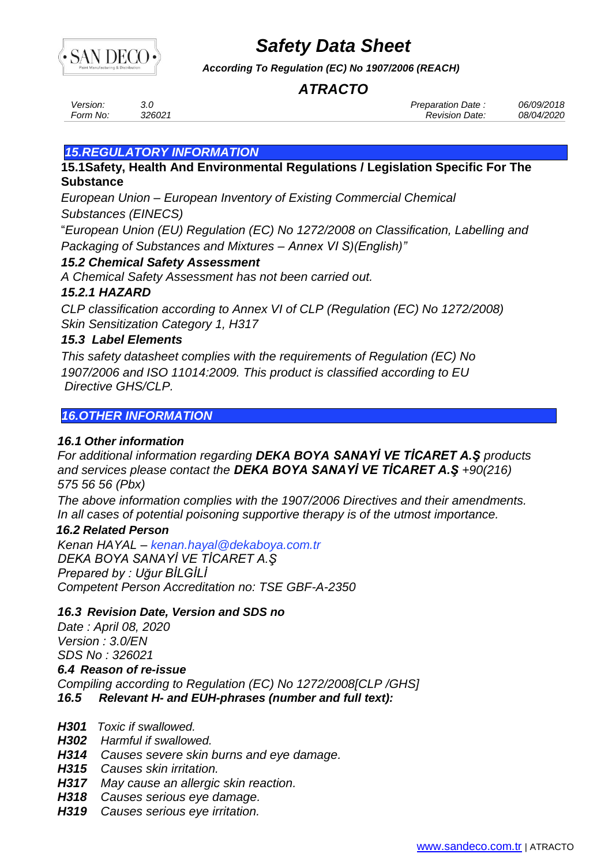

*According To Regulation (EC) No 1907/2006 (REACH)*

### *ATRACTO*

*Version: 3.0 Preparation Date : 06/09/2018 Form No: 326021 Revision Date: 08/04/2020*

### *15.REGULATORY INFORMATION*

**15.1Safety, Health And Environmental Regulations / Legislation Specific For The Substance**

*European Union – European Inventory of Existing Commercial Chemical Substances (EINECS)*

"*European Union (EU) Regulation (EC) No 1272/2008 on Classification, Labelling and Packaging of Substances and Mixtures – Annex VI S)(English)"*

### *15.2 Chemical Safety Assessment*

*A Chemical Safety Assessment has not been carried out.*

### *15.2.1 HAZARD*

*CLP classification according to Annex VI of CLP (Regulation (EC) No 1272/2008) Skin Sensitization Category 1, H317*

### *15.3 Label Elements*

*This safety datasheet complies with the requirements of Regulation (EC) No 1907/2006 and ISO 11014:2009. This product is classified according to EU Directive GHS/CLP.*

### *16.OTHER INFORMATION*

### *16.1 Other information*

*For additional information regarding DEKA BOYA SANAYİ VE TİCARET A.Ş products and services please contact the DEKA BOYA SANAYİ VE TİCARET A.Ş +90(216) 575 56 56 (Pbx)*

*The above information complies with the 1907/2006 Directives and their amendments. In all cases of potential poisoning supportive therapy is of the utmost importance.*

### *16.2 Related Person*

*Kenan HAYAL – [kenan.hayal@dekaboya.com.tr](mailto:kenan.h@dekaboya.com.tr) DEKA BOYA SANAYİ VE TİCARET A.Ş Prepared by : Uğur BİLGİLİ [Competent Person A](file:///C:/Users/User/AppData/Roaming/Microsoft/DUNLOP/www.msdsmarket.com)ccreditation no: TSE GBF-A-2350* 

### *16.3 Revision Date, Version and SDS no*

*Date : April 08, 2020 Version : 3.0/EN SDS No : 326021 6.4 Reason of re-issue Compiling according to Regulation (EC) No 1272/2008[CLP /GHS] 16.5 Relevant H- and EUH-phrases (number and full text):*

- *H301 Toxic if swallowed.*
- *H302 Harmful if swallowed.*
- *H314 Causes severe skin burns and eye damage.*
- *H315 Causes skin irritation.*
- *H317 May cause an allergic skin reaction.*
- *H318 Causes serious eye damage.*
- *H319 Causes serious eye irritation.*